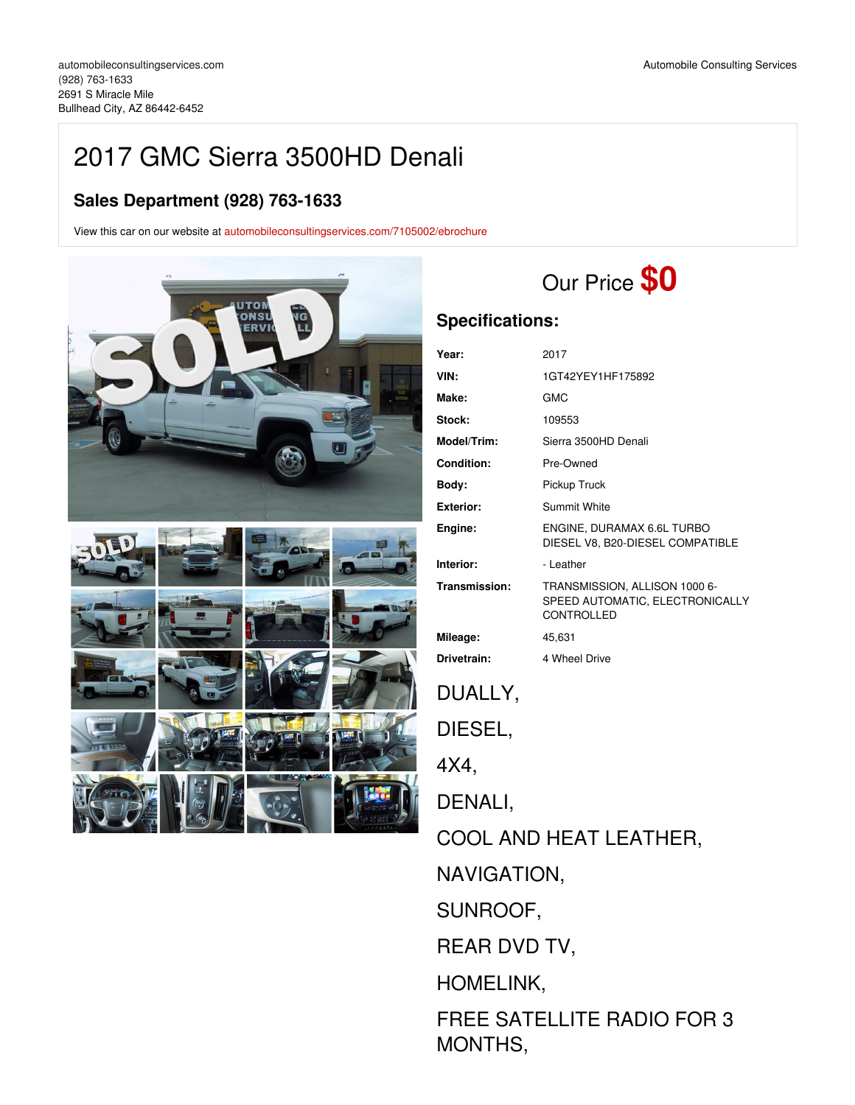## 2017 GMC Sierra 3500HD Denali

## **Sales Department (928) 763-1633**

View this car on our website at [automobileconsultingservices.com/7105002/ebrochure](https://automobileconsultingservices.com/vehicle/7105002/2017-gmc-sierra-3500hd-denali-bullhead-city-az-86442-6452/7105002/ebrochure)





# Our Price **\$0**

## **Specifications:**

MONTHS,

| Year:                  | 2017                                                                                  |  |  |  |
|------------------------|---------------------------------------------------------------------------------------|--|--|--|
| VIN:                   | 1GT42YEY1HF175892                                                                     |  |  |  |
| Make:                  | GMC                                                                                   |  |  |  |
| Stock:                 | 109553                                                                                |  |  |  |
| Model/Trim:            | Sierra 3500HD Denali                                                                  |  |  |  |
| Condition:             | Pre-Owned                                                                             |  |  |  |
| Body:                  | Pickup Truck                                                                          |  |  |  |
| <b>Exterior:</b>       | <b>Summit White</b>                                                                   |  |  |  |
| Engine:                | ENGINE, DURAMAX 6.6L TURBO<br>DIESEL V8, B20-DIESEL COMPATIBLE                        |  |  |  |
| Interior:              | - Leather                                                                             |  |  |  |
| Transmission:          | TRANSMISSION, ALLISON 1000 6-<br>SPEED AUTOMATIC, ELECTRONICALLY<br><b>CONTROLLED</b> |  |  |  |
| Mileage:               | 45,631                                                                                |  |  |  |
| Drivetrain:            | 4 Wheel Drive                                                                         |  |  |  |
| DUALLY,                |                                                                                       |  |  |  |
| DIESEL,                |                                                                                       |  |  |  |
| 4X4.                   |                                                                                       |  |  |  |
| DENALI,                |                                                                                       |  |  |  |
| COOL AND HEAT LEATHER, |                                                                                       |  |  |  |
| NAVIGATION,            |                                                                                       |  |  |  |
| SUNROOF,               |                                                                                       |  |  |  |
| REAR DVD TV,           |                                                                                       |  |  |  |
| <b>HOMELINK,</b>       |                                                                                       |  |  |  |
|                        | <b>FREE SATELLITE RADIO FOR 3</b>                                                     |  |  |  |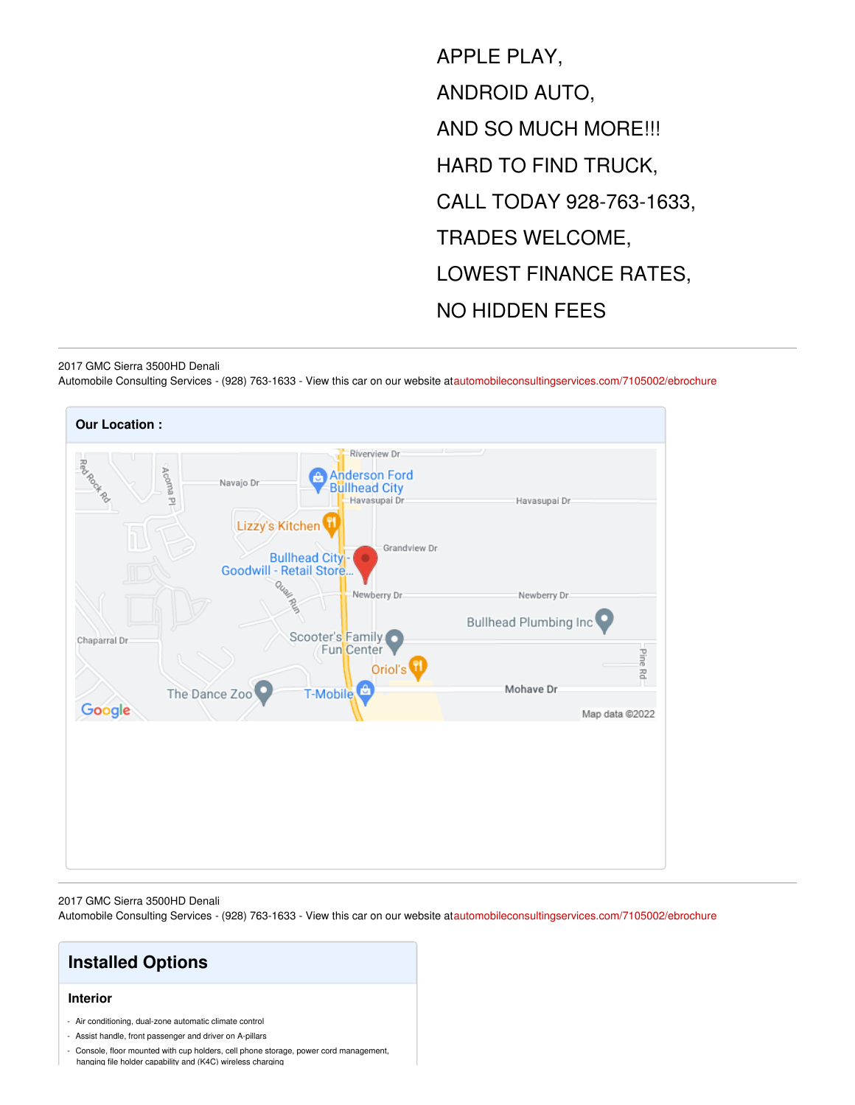APPLE PLAY, ANDROID AUTO, AND SO MUCH MORE!!! HARD TO FIND TRUCK, CALL TODAY 928-763-1633, TRADES WELCOME, LOWEST FINANCE RATES, NO HIDDEN FEES

#### 2017 GMC Sierra 3500HD Denali

Automobile Consulting Services - (928) 763-1633 - View this car on our website a[tautomobileconsultingservices.com/7105002/ebrochure](https://automobileconsultingservices.com/vehicle/7105002/2017-gmc-sierra-3500hd-denali-bullhead-city-az-86442-6452/7105002/ebrochure)



#### 2017 GMC Sierra 3500HD Denali

Automobile Consulting Services - (928) 763-1633 - View this car on our website a[tautomobileconsultingservices.com/7105002/ebrochure](https://automobileconsultingservices.com/vehicle/7105002/2017-gmc-sierra-3500hd-denali-bullhead-city-az-86442-6452/7105002/ebrochure)

## **Installed Options**

#### **Interior**

- Air conditioning, dual-zone automatic climate control
- Assist handle, front passenger and driver on A-pillars
- Console, floor mounted with cup holders, cell phone storage, power cord management,

hanging file holder capability and (K4C) wireless charging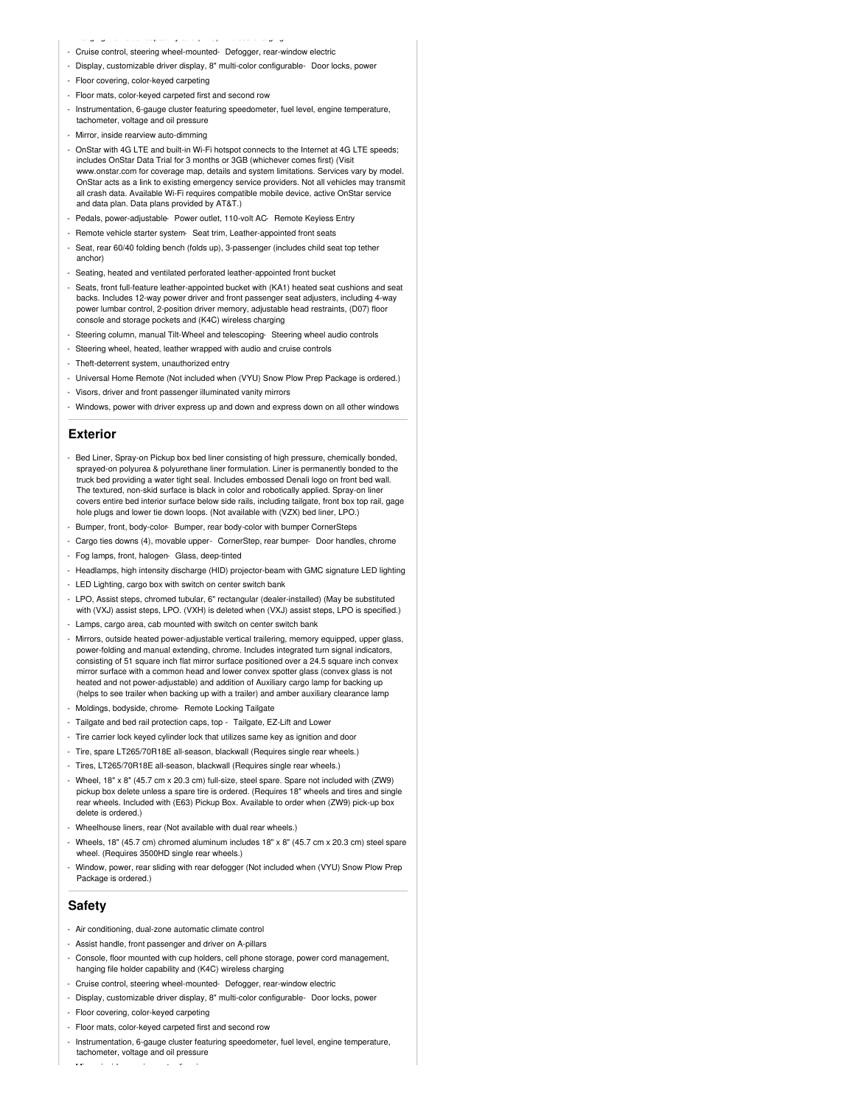- hanging file holder capability and (K4C) wireless charging
- Cruise control, steering wheel-mounted- Defogger, rear-window electric
- Display, customizable driver display, 8" multi-color configurable- Door locks, power
- Floor covering, color-keyed carpeting
- Floor mats, color-keyed carpeted first and second row
- Instrumentation, 6-gauge cluster featuring speedometer, fuel level, engine temperature, tachometer, voltage and oil pressure
- Mirror, inside rearview auto-dimming
- OnStar with 4G LTE and built-in Wi-Fi hotspot connects to the Internet at 4G LTE speeds; includes OnStar Data Trial for 3 months or 3GB (whichever comes first) (Visit www.onstar.com for coverage map, details and system limitations. Services vary by model. OnStar acts as a link to existing emergency service providers. Not all vehicles may transmit all crash data. Available Wi-Fi requires compatible mobile device, active OnStar service and data plan. Data plans provided by AT&T.)
- Pedals, power-adjustable- Power outlet, 110-volt AC- Remote Keyless Entry
- Remote vehicle starter system- Seat trim, Leather-appointed front seats
- Seat, rear 60/40 folding bench (folds up), 3-passenger (includes child seat top tether anchor)
- Seating, heated and ventilated perforated leather-appointed front bucket
- Seats, front full-feature leather-appointed bucket with (KA1) heated seat cushions and seat backs. Includes 12-way power driver and front passenger seat adjusters, including 4-way power lumbar control, 2-position driver memory, adjustable head restraints, (D07) floor console and storage pockets and (K4C) wireless charging
- Steering column, manual Tilt-Wheel and telescoping- Steering wheel audio controls
- Steering wheel, heated, leather wrapped with audio and cruise controls
- Theft-deterrent system, unauthorized entry
- Universal Home Remote (Not included when (VYU) Snow Plow Prep Package is ordered.)
- Visors, driver and front passenger illuminated vanity mirrors
- Windows, power with driver express up and down and express down on all other windows

#### **Exterior**

- Bed Liner, Spray-on Pickup box bed liner consisting of high pressure, chemically bonded, sprayed-on polyurea & polyurethane liner formulation. Liner is permanently bonded to the truck bed providing a water tight seal. Includes embossed Denali logo on front bed wall. The textured, non-skid surface is black in color and robotically applied. Spray-on liner covers entire bed interior surface below side rails, including tailgate, front box top rail, gage hole plugs and lower tie down loops. (Not available with (VZX) bed liner, LPO.)
- Bumper, front, body-color- Bumper, rear body-color with bumper CornerSteps
- Cargo ties downs (4), movable upper- CornerStep, rear bumper- Door handles, chrome
- Fog lamps, front, halogen- Glass, deep-tinted
- Headlamps, high intensity discharge (HID) projector-beam with GMC signature LED lighting
- LED Lighting, cargo box with switch on center switch bank
- LPO, Assist steps, chromed tubular, 6" rectangular (dealer-installed) (May be substituted with (VXJ) assist steps, LPO. (VXH) is deleted when (VXJ) assist steps, LPO is specified.)
- Lamps, cargo area, cab mounted with switch on center switch bank
- Mirrors, outside heated power-adjustable vertical trailering, memory equipped, upper glass, power-folding and manual extending, chrome. Includes integrated turn signal indicators, consisting of 51 square inch flat mirror surface positioned over a 24.5 square inch convex mirror surface with a common head and lower convex spotter glass (convex glass is not heated and not power-adjustable) and addition of Auxiliary cargo lamp for backing up (helps to see trailer when backing up with a trailer) and amber auxiliary clearance lamp
- Moldings, bodyside, chrome- Remote Locking Tailgate
- Tailgate and bed rail protection caps, top Tailgate, EZ-Lift and Lower
- Tire carrier lock keyed cylinder lock that utilizes same key as ignition and door
- Tire, spare LT265/70R18E all-season, blackwall (Requires single rear wheels.)
- Tires, LT265/70R18E all-season, blackwall (Requires single rear wheels.)
- Wheel, 18" x 8" (45.7 cm x 20.3 cm) full-size, steel spare. Spare not included with (ZW9) pickup box delete unless a spare tire is ordered. (Requires 18" wheels and tires and single rear wheels. Included with (E63) Pickup Box. Available to order when (ZW9) pick-up box delete is ordered.)
- Wheelhouse liners, rear (Not available with dual rear wheels.)
- Wheels, 18" (45.7 cm) chromed aluminum includes 18" x 8" (45.7 cm x 20.3 cm) steel spare wheel. (Requires 3500HD single rear wheels.)
- Window, power, rear sliding with rear defogger (Not included when (VYU) Snow Plow Prep Package is ordered.)

#### **Safety**

- Air conditioning, dual-zone automatic climate control
- Assist handle, front passenger and driver on A-pillars
- Console, floor mounted with cup holders, cell phone storage, power cord management, hanging file holder capability and (K4C) wireless charging
- Cruise control, steering wheel-mounted- Defogger, rear-window electric
- Display, customizable driver display, 8" multi-color configurable- Door locks, power
- Floor covering, color-keyed carpeting
- Floor mats, color-keyed carpeted first and second row
- Instrumentation, 6-gauge cluster featuring speedometer, fuel level, engine temperature, tachometer, voltage and oil pressure
- Mirror, inside rearview auto-dimming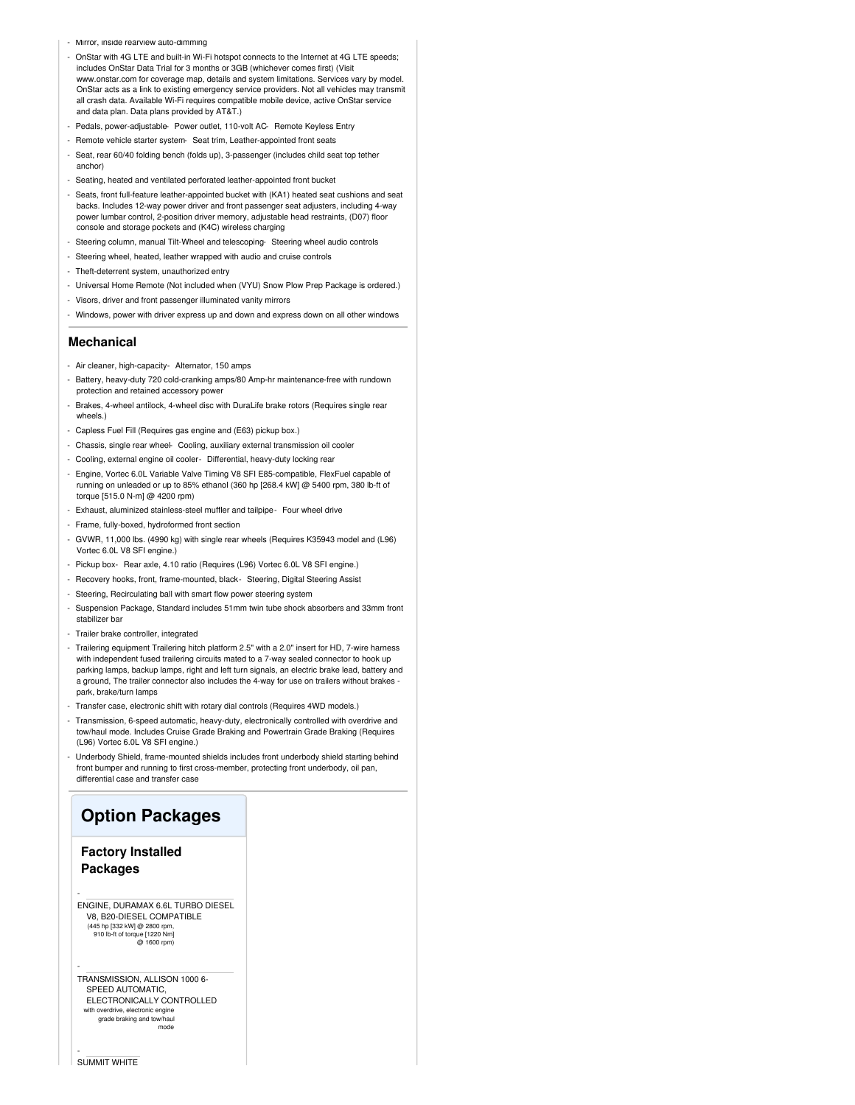- Mirror, inside rearview auto-dimming
- OnStar with 4G LTE and built-in Wi-Fi hotspot connects to the Internet at 4G LTE speeds; includes OnStar Data Trial for 3 months or 3GB (whichever comes first) (Visit www.onstar.com for coverage map, details and system limitations. Services vary by model. OnStar acts as a link to existing emergency service providers. Not all vehicles may transmit all crash data. Available Wi-Fi requires compatible mobile device, active OnStar service and data plan. Data plans provided by AT&T.)
- Pedals, power-adjustable- Power outlet, 110-volt AC- Remote Keyless Entry
- Remote vehicle starter system- Seat trim, Leather-appointed front seats
- Seat, rear 60/40 folding bench (folds up), 3-passenger (includes child seat top tether anchor)
- Seating, heated and ventilated perforated leather-appointed front bucket
- Seats, front full-feature leather-appointed bucket with (KA1) heated seat cushions and seat backs. Includes 12-way power driver and front passenger seat adjusters, including 4-way power lumbar control, 2-position driver memory, adjustable head restraints, (D07) floor console and storage pockets and (K4C) wireless charging
- Steering column, manual Tilt-Wheel and telescoping- Steering wheel audio controls
- Steering wheel, heated, leather wrapped with audio and cruise controls
- Theft-deterrent system, unauthorized entry
- Universal Home Remote (Not included when (VYU) Snow Plow Prep Package is ordered.)
- Visors, driver and front passenger illuminated vanity mirrors
- Windows, power with driver express up and down and express down on all other windows

#### **Mechanical**

- Air cleaner, high-capacity- Alternator, 150 amps
- Battery, heavy-duty 720 cold-cranking amps/80 Amp-hr maintenance-free with rundown protection and retained accessory power
- Brakes, 4-wheel antilock, 4-wheel disc with DuraLife brake rotors (Requires single rear wheels.)
- Capless Fuel Fill (Requires gas engine and (E63) pickup box.)
- Chassis, single rear wheel- Cooling, auxiliary external transmission oil cooler
- Cooling, external engine oil cooler- Differential, heavy-duty locking rear
- Engine, Vortec 6.0L Variable Valve Timing V8 SFI E85-compatible, FlexFuel capable of running on unleaded or up to 85% ethanol (360 hp [268.4 kW] @ 5400 rpm, 380 lb-ft of torque [515.0 N-m] @ 4200 rpm)
- Exhaust, aluminized stainless-steel muffler and tailpipe- Four wheel drive
- Frame, fully-boxed, hydroformed front section
- GVWR, 11,000 lbs. (4990 kg) with single rear wheels (Requires K35943 model and (L96) Vortec 6.0L V8 SFI engine.)
- Pickup box- Rear axle, 4.10 ratio (Requires (L96) Vortec 6.0L V8 SFI engine.)
- Recovery hooks, front, frame-mounted, black- Steering, Digital Steering Assist
- Steering, Recirculating ball with smart flow power steering system
- Suspension Package, Standard includes 51mm twin tube shock absorbers and 33mm front stabilizer bar
- Trailer brake controller, integrated
- Trailering equipment Trailering hitch platform 2.5" with a 2.0" insert for HD, 7-wire harness with independent fused trailering circuits mated to a 7-way sealed connector to hook up parking lamps, backup lamps, right and left turn signals, an electric brake lead, battery and a ground, The trailer connector also includes the 4-way for use on trailers without brakes park, brake/turn lamps
- Transfer case, electronic shift with rotary dial controls (Requires 4WD models.)
- Transmission, 6-speed automatic, heavy-duty, electronically controlled with overdrive and tow/haul mode. Includes Cruise Grade Braking and Powertrain Grade Braking (Requires (L96) Vortec 6.0L V8 SFI engine.)
- Underbody Shield, frame-mounted shields includes front underbody shield starting behind front bumper and running to first cross-member, protecting front underbody, oil pan, differential case and transfer case

### **Option Packages**

### **Factory Installed Packages**

-

-

-

ENGINE, DURAMAX 6.6L TURBO DIESEL V8, B20-DIESEL COMPATIBLE (445 hp [332 kW] @ 2800 rpm, 910 lb-ft of torque [1220 Nm] @ 1600 rpm)

TRANSMISSION, ALLISON 1000 6- SPEED AUTOMATIC, ELECTRONICALLY CONTROLLED with overdrive, electronic engine grade braking and tow/haul mode